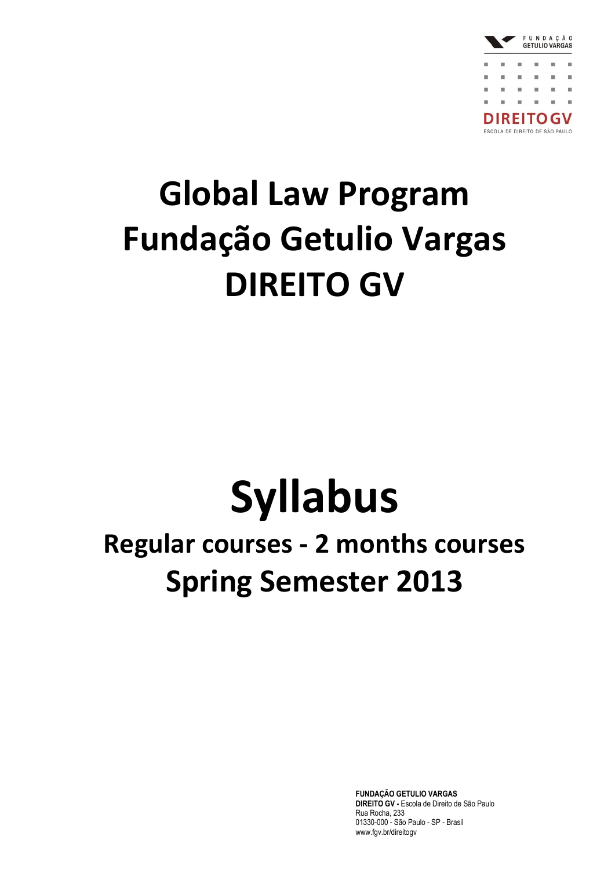

## **Global Law Program Fundação Getulio Vargas DIREITO GV**

# **Syllabus**

### **Regular courses - 2 months courses Spring Semester 2013**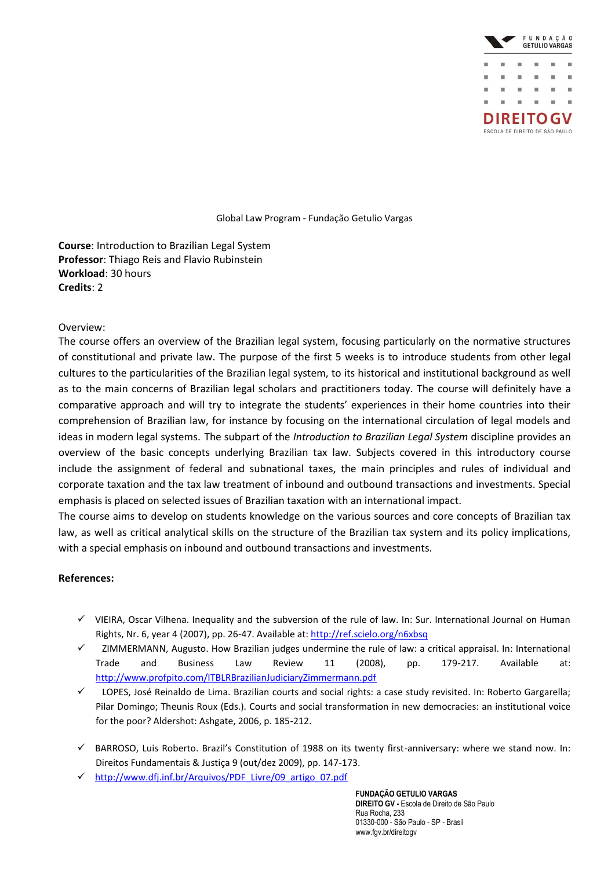

**Course**: Introduction to Brazilian Legal System **Professor**: Thiago Reis and Flavio Rubinstein **Workload**: 30 hours **Credits**: 2

### Overview:

The course offers an overview of the Brazilian legal system, focusing particularly on the normative structures of constitutional and private law. The purpose of the first 5 weeks is to introduce students from other legal cultures to the particularities of the Brazilian legal system, to its historical and institutional background as well as to the main concerns of Brazilian legal scholars and practitioners today. The course will definitely have a comparative approach and will try to integrate the students' experiences in their home countries into their comprehension of Brazilian law, for instance by focusing on the international circulation of legal models and ideas in modern legal systems. The subpart of the *Introduction to Brazilian Legal System* discipline provides an overview of the basic concepts underlying Brazilian tax law. Subjects covered in this introductory course include the assignment of federal and subnational taxes, the main principles and rules of individual and corporate taxation and the tax law treatment of inbound and outbound transactions and investments. Special emphasis is placed on selected issues of Brazilian taxation with an international impact.

The course aims to develop on students knowledge on the various sources and core concepts of Brazilian tax law, as well as critical analytical skills on the structure of the Brazilian tax system and its policy implications, with a special emphasis on inbound and outbound transactions and investments.

### **References:**

- $\checkmark$  VIEIRA, Oscar Vilhena. Inequality and the subversion of the rule of law. In: Sur. International Journal on Human Rights, Nr. 6, year 4 (2007), pp. 26-47. Available at:<http://ref.scielo.org/n6xbsq>
- ZIMMERMANN, Augusto. How Brazilian judges undermine the rule of law: a critical appraisal. In: International Trade and Business Law Review 11 (2008), pp. 179-217. Available at: <http://www.profpito.com/ITBLRBrazilianJudiciaryZimmermann.pdf>
- LOPES, José Reinaldo de Lima. Brazilian courts and social rights: a case study revisited. In: Roberto Gargarella; Pilar Domingo; Theunis Roux (Eds.). Courts and social transformation in new democracies: an institutional voice for the poor? Aldershot: Ashgate, 2006, p. 185-212.
- $\checkmark$  BARROSO, Luis Roberto. Brazil's Constitution of 1988 on its twenty first-anniversary: where we stand now. In: Direitos Fundamentais & Justiça 9 (out/dez 2009), pp. 147-173.
- [http://www.dfj.inf.br/Arquivos/PDF\\_Livre/09\\_artigo\\_07.pdf](http://www.dfj.inf.br/Arquivos/PDF_Livre/09_artigo_07.pdf)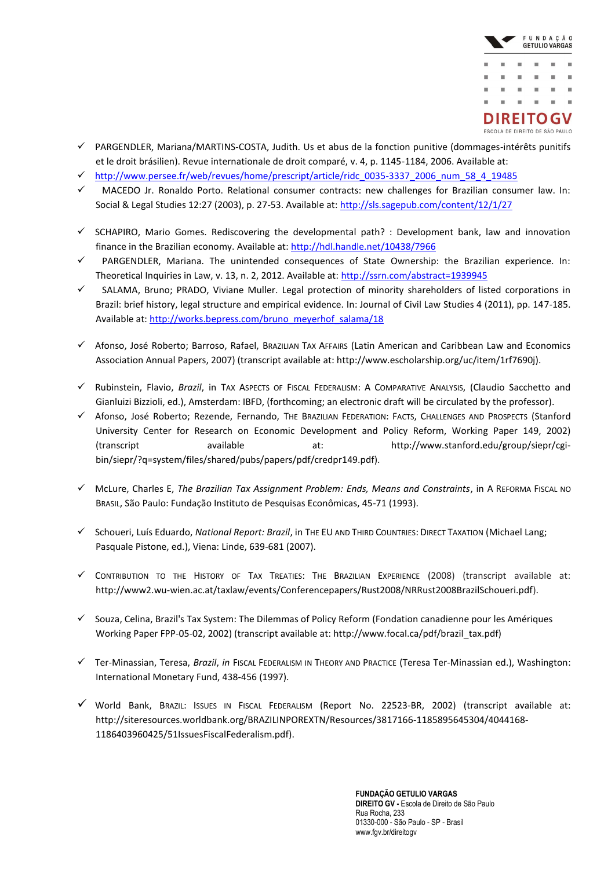

- $\checkmark$  PARGENDLER, Mariana/MARTINS-COSTA, Judith. Us et abus de la fonction punitive (dommages-intérêts punitifs et le droit brásilien). Revue internationale de droit comparé, v. 4, p. 1145-1184, 2006. Available at:
- [http://www.persee.fr/web/revues/home/prescript/article/ridc\\_0035-3337\\_2006\\_num\\_58\\_4\\_19485](http://www.persee.fr/web/revues/home/prescript/article/ridc_0035-3337_2006_num_58_4_19485)
- MACEDO Jr. Ronaldo Porto. Relational consumer contracts: new challenges for Brazilian consumer law. In: Social & Legal Studies 12:27 (2003), p. 27-53. Available at[: http://sls.sagepub.com/content/12/1/27](http://sls.sagepub.com/content/12/1/27)
- $\checkmark$  SCHAPIRO, Mario Gomes. Rediscovering the developmental path? : Development bank, law and innovation finance in the Brazilian economy. Available at:<http://hdl.handle.net/10438/7966>
- PARGENDLER, Mariana. The unintended consequences of State Ownership: the Brazilian experience. In: Theoretical Inquiries in Law, v. 13, n. 2, 2012. Available at:<http://ssrn.com/abstract=1939945>
- $\checkmark$  SALAMA, Bruno; PRADO, Viviane Muller. Legal protection of minority shareholders of listed corporations in Brazil: brief history, legal structure and empirical evidence. In: Journal of Civil Law Studies 4 (2011), pp. 147-185. Available at: [http://works.bepress.com/bruno\\_meyerhof\\_salama/18](http://works.bepress.com/bruno_meyerhof_salama/18)
- Afonso, José Roberto; Barroso, Rafael, BRAZILIAN TAX AFFAIRS (Latin American and Caribbean Law and Economics Association Annual Papers, 2007) (transcript available at: http://www.escholarship.org/uc/item/1rf7690j).
- Rubinstein, Flavio, *Brazil*, in TAX ASPECTS OF FISCAL FEDERALISM: A COMPARATIVE ANALYSIS, (Claudio Sacchetto and Gianluizi Bizzioli, ed.), Amsterdam: IBFD, (forthcoming; an electronic draft will be circulated by the professor).
- Afonso, José Roberto; Rezende, Fernando, THE BRAZILIAN FEDERATION: FACTS, CHALLENGES AND PROSPECTS (Stanford University Center for Research on Economic Development and Policy Reform, Working Paper 149, 2002) (transcript available at: http://www.stanford.edu/group/siepr/cgibin/siepr/?q=system/files/shared/pubs/papers/pdf/credpr149.pdf).
- McLure, Charles E, *The Brazilian Tax Assignment Problem: Ends, Means and Constraints*, in A REFORMA FISCAL NO BRASIL, São Paulo: Fundação Instituto de Pesquisas Econômicas, 45-71 (1993).
- Schoueri, Luís Eduardo, *National Report: Brazil*, in THE EU AND THIRD COUNTRIES: DIRECT TAXATION (Michael Lang; Pasquale Pistone, ed.), Viena: Linde, 639-681 (2007).
- CONTRIBUTION TO THE HISTORY OF TAX TREATIES: THE BRAZILIAN EXPERIENCE (2008) (transcript available at: http://www2.wu-wien.ac.at/taxlaw/events/Conferencepapers/Rust2008/NRRust2008BrazilSchoueri.pdf).
- $\checkmark$  Souza, Celina, Brazil's Tax System: The Dilemmas of Policy Reform (Fondation canadienne pour les Amériques Working Paper FPP-05-02, 2002) (transcript available at: http://www.focal.ca/pdf/brazil\_tax.pdf)
- Ter-Minassian, Teresa, *Brazil*, *in* FISCAL FEDERALISM IN THEORY AND PRACTICE (Teresa Ter-Minassian ed.), Washington: International Monetary Fund, 438-456 (1997).
- World Bank, BRAZIL: ISSUES IN FISCAL FEDERALISM (Report No. 22523-BR, 2002) (transcript available at: http://siteresources.worldbank.org/BRAZILINPOREXTN/Resources/3817166-1185895645304/4044168- 1186403960425/51IssuesFiscalFederalism.pdf).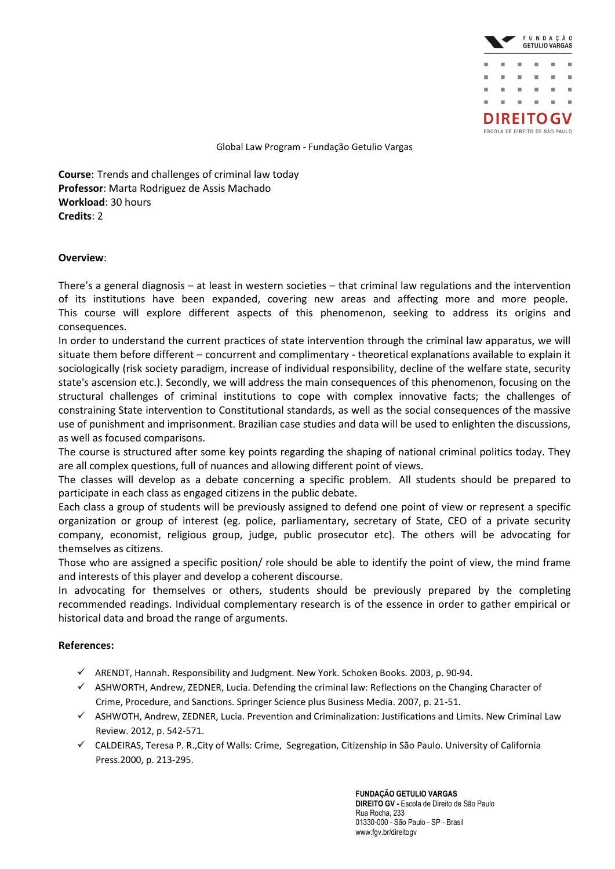

**Course**: Trends and challenges of criminal law today **Professor**: Marta Rodriguez de Assis Machado **Workload**: 30 hours **Credits**: 2

### **Overview**:

There's a general diagnosis – at least in western societies – that criminal law regulations and the intervention of its institutions have been expanded, covering new areas and affecting more and more people. This course will explore different aspects of this phenomenon, seeking to address its origins and consequences.

In order to understand the current practices of state intervention through the criminal law apparatus, we will situate them before different – concurrent and complimentary - theoretical explanations available to explain it sociologically (risk society paradigm, increase of individual responsibility, decline of the welfare state, security state's ascension etc.). Secondly, we will address the main consequences of this phenomenon, focusing on the structural challenges of criminal institutions to cope with complex innovative facts; the challenges of constraining State intervention to Constitutional standards, as well as the social consequences of the massive use of punishment and imprisonment. Brazilian case studies and data will be used to enlighten the discussions, as well as focused comparisons.

The course is structured after some key points regarding the shaping of national criminal politics today. They are all complex questions, full of nuances and allowing different point of views.

The classes will develop as a debate concerning a specific problem. All students should be prepared to participate in each class as engaged citizens in the public debate.

Each class a group of students will be previously assigned to defend one point of view or represent a specific organization or group of interest (eg. police, parliamentary, secretary of State, CEO of a private security company, economist, religious group, judge, public prosecutor etc). The others will be advocating for themselves as citizens.

Those who are assigned a specific position/ role should be able to identify the point of view, the mind frame and interests of this player and develop a coherent discourse.

In advocating for themselves or others, students should be previously prepared by the completing recommended readings. Individual complementary research is of the essence in order to gather empirical or historical data and broad the range of arguments.

### **References:**

- $\checkmark$  ARENDT, Hannah. Responsibility and Judgment. New York. Schoken Books. 2003, p. 90-94.
- $\checkmark$  ASHWORTH, Andrew, ZEDNER, Lucia. Defending the criminal law: Reflections on the Changing Character of Crime, Procedure, and Sanctions. Springer Science plus Business Media. 2007, p. 21-51.
- $\checkmark$  ASHWOTH, Andrew, ZEDNER, Lucia. Prevention and Criminalization: Justifications and Limits. New Criminal Law Review. 2012, p. 542-571.
- CALDEIRAS, Teresa P. R.,City of Walls: Crime, Segregation, Citizenship in São Paulo. University of California Press.2000, p. 213-295.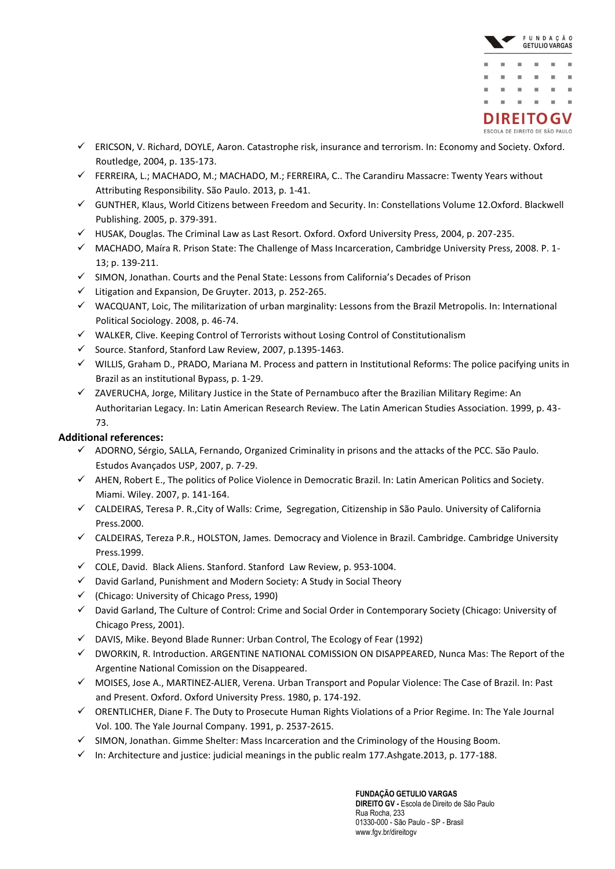

- ERICSON, V. Richard, DOYLE, Aaron. Catastrophe risk, insurance and terrorism. In: Economy and Society. Oxford. Routledge, 2004, p. 135-173.
- $\checkmark$  FERREIRA, L.; MACHADO, M.; MACHADO, M.; FERREIRA, C.. The Carandiru Massacre: Twenty Years without Attributing Responsibility. São Paulo. 2013, p. 1-41.
- GUNTHER, Klaus, World Citizens between Freedom and Security. In: Constellations Volume 12.Oxford. Blackwell Publishing. 2005, p. 379-391.
- $\checkmark$  HUSAK, Douglas. The Criminal Law as Last Resort. Oxford. Oxford University Press, 2004, p. 207-235.
- MACHADO, Maíra R. Prison State: The Challenge of Mass Incarceration, Cambridge University Press, 2008. P. 1- 13; p. 139-211.
- $\checkmark$  SIMON, Jonathan. Courts and the Penal State: Lessons from California's Decades of Prison
- $\checkmark$  Litigation and Expansion, De Gruyter. 2013, p. 252-265.
- WACQUANT, Loic, The militarization of urban marginality: Lessons from the Brazil Metropolis. In: International Political Sociology. 2008, p. 46-74.
- $\checkmark$  WALKER, Clive. Keeping Control of Terrorists without Losing Control of Constitutionalism
- $\checkmark$  Source. Stanford, Stanford Law Review, 2007, p.1395-1463.
- $\checkmark$  WILLIS, Graham D., PRADO, Mariana M. Process and pattern in Institutional Reforms: The police pacifying units in Brazil as an institutional Bypass, p. 1-29.
- $\checkmark$  ZAVERUCHA, Jorge, Military Justice in the State of Pernambuco after the Brazilian Military Regime: An Authoritarian Legacy. In: Latin American Research Review. The Latin American Studies Association. 1999, p. 43- 73.

### **Additional references:**

- $\checkmark$  ADORNO, Sérgio, SALLA, Fernando, Organized Criminality in prisons and the attacks of the PCC. São Paulo. Estudos Avançados USP, 2007, p. 7-29.
- $\checkmark$  AHEN, Robert E., The politics of Police Violence in Democratic Brazil. In: Latin American Politics and Society. Miami. Wiley. 2007, p. 141-164.
- CALDEIRAS, Teresa P. R.,City of Walls: Crime, Segregation, Citizenship in São Paulo. University of California Press.2000.
- $\checkmark$  CALDEIRAS, Tereza P.R., HOLSTON, James. Democracy and Violence in Brazil. Cambridge. Cambridge University Press.1999.
- COLE, David. Black Aliens. Stanford. Stanford Law Review, p. 953-1004.
- $\checkmark$  David Garland, Punishment and Modern Society: A Study in Social Theory
- $\checkmark$  (Chicago: University of Chicago Press, 1990)
- David Garland, The Culture of Control: Crime and Social Order in Contemporary Society (Chicago: University of Chicago Press, 2001).
- $\checkmark$  DAVIS, Mike. Beyond Blade Runner: Urban Control, The Ecology of Fear (1992)
- DWORKIN, R. Introduction. ARGENTINE NATIONAL COMISSION ON DISAPPEARED, Nunca Mas: The Report of the Argentine National Comission on the Disappeared.
- MOISES, Jose A., MARTINEZ-ALIER, Verena. Urban Transport and Popular Violence: The Case of Brazil. In: Past and Present. Oxford. Oxford University Press. 1980, p. 174-192.
- ORENTLICHER, Diane F. The Duty to Prosecute Human Rights Violations of a Prior Regime. In: The Yale Journal Vol. 100. The Yale Journal Company. 1991, p. 2537-2615.
- $\checkmark$  SIMON, Jonathan. Gimme Shelter: Mass Incarceration and the Criminology of the Housing Boom.
- $\checkmark$  In: Architecture and justice: judicial meanings in the public realm 177.Ashgate.2013, p. 177-188.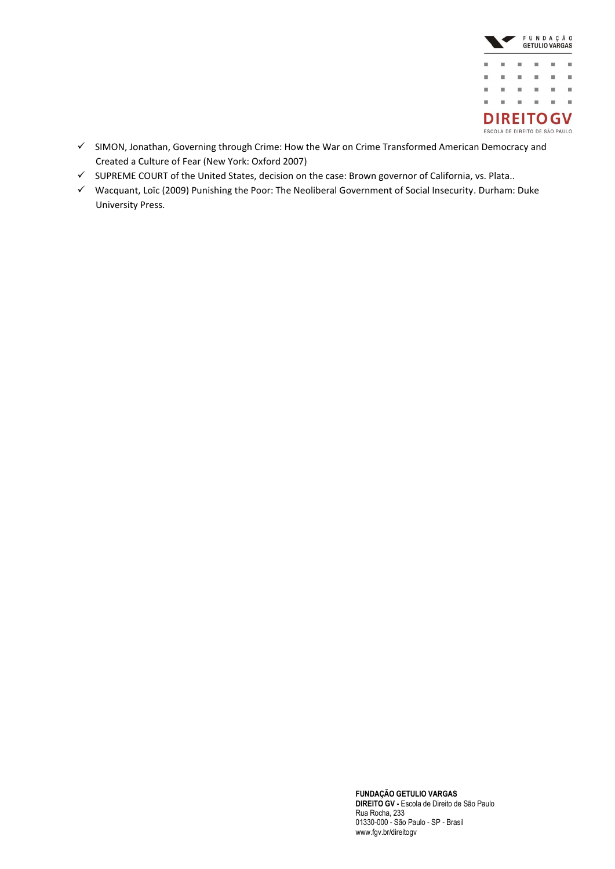

- $\checkmark$  SIMON, Jonathan, Governing through Crime: How the War on Crime Transformed American Democracy and Created a Culture of Fear (New York: Oxford 2007)
- $\checkmark$  SUPREME COURT of the United States, decision on the case: Brown governor of California, vs. Plata..
- Wacquant, Loïc (2009) [Punishing the Poor: The Neoliberal Government of Social Insecurity.](http://www.dukeupress.edu/books.php3?isbn=978-0-8223-4422-3) Durham: Duke University Press.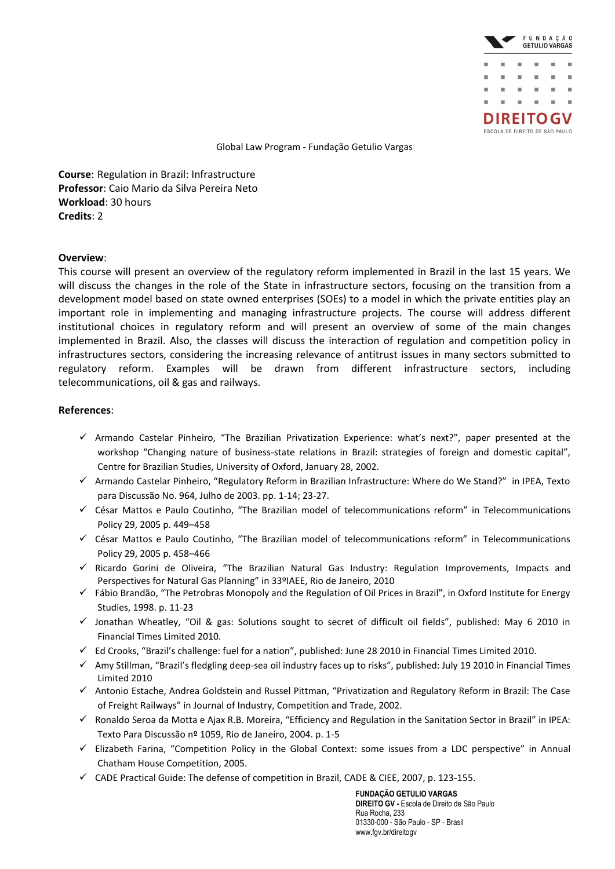

**Course**: Regulation in Brazil: Infrastructure **Professor**: Caio Mario da Silva Pereira Neto **Workload**: 30 hours **Credits**: 2

### **Overview**:

This course will present an overview of the regulatory reform implemented in Brazil in the last 15 years. We will discuss the changes in the role of the State in infrastructure sectors, focusing on the transition from a development model based on state owned enterprises (SOEs) to a model in which the private entities play an important role in implementing and managing infrastructure projects. The course will address different institutional choices in regulatory reform and will present an overview of some of the main changes implemented in Brazil. Also, the classes will discuss the interaction of regulation and competition policy in infrastructures sectors, considering the increasing relevance of antitrust issues in many sectors submitted to regulatory reform. Examples will be drawn from different infrastructure sectors, including telecommunications, oil & gas and railways.

### **References**:

- $\checkmark$  Armando Castelar Pinheiro, "The Brazilian Privatization Experience: what's next?", paper presented at the workshop "Changing nature of business-state relations in Brazil: strategies of foreign and domestic capital", Centre for Brazilian Studies, University of Oxford, January 28, 2002.
- $\checkmark$  Armando Castelar Pinheiro, "Regulatory Reform in Brazilian Infrastructure: Where do We Stand?" in IPEA, Texto para Discussão No. 964, Julho de 2003. pp. 1-14; 23-27.
- $\checkmark$  César Mattos e Paulo Coutinho, "The Brazilian model of telecommunications reform" in Telecommunications Policy 29, 2005 p. 449–458
- $\checkmark$  César Mattos e Paulo Coutinho, "The Brazilian model of telecommunications reform" in Telecommunications Policy 29, 2005 p. 458–466
- $\checkmark$  Ricardo Gorini de Oliveira, "The Brazilian Natural Gas Industry: Regulation Improvements, Impacts and Perspectives for Natural Gas Planning" in 33ºIAEE, Rio de Janeiro, 2010
- $\checkmark$  Fábio Brandão, "The Petrobras Monopoly and the Regulation of Oil Prices in Brazil", in Oxford Institute for Energy Studies, 1998. p. 11-23
- $\checkmark$  Jonathan Wheatley, "Oil & gas: Solutions sought to secret of difficult oil fields", published: May 6 2010 in Financial Times Limited 2010.
- $\checkmark$  Ed Crooks, "Brazil's challenge: fuel for a nation", published: June 28 2010 in Financial Times Limited 2010.
- $\checkmark$  Amy Stillman, "Brazil's fledgling deep-sea oil industry faces up to risks", published: July 19 2010 in Financial Times Limited 2010
- $\checkmark$  Antonio Estache, Andrea Goldstein and Russel Pittman, "Privatization and Regulatory Reform in Brazil: The Case of Freight Railways" in Journal of Industry, Competition and Trade, 2002.
- $\checkmark$  Ronaldo Seroa da Motta e Ajax R.B. Moreira, "Efficiency and Regulation in the Sanitation Sector in Brazil" in IPEA: Texto Para Discussão nº 1059, Rio de Janeiro, 2004. p. 1-5
- $\checkmark$  Elizabeth Farina, "Competition Policy in the Global Context: some issues from a LDC perspective" in Annual Chatham House Competition, 2005.
- $\checkmark$  CADE Practical Guide: The defense of competition in Brazil, CADE & CIEE, 2007, p. 123-155.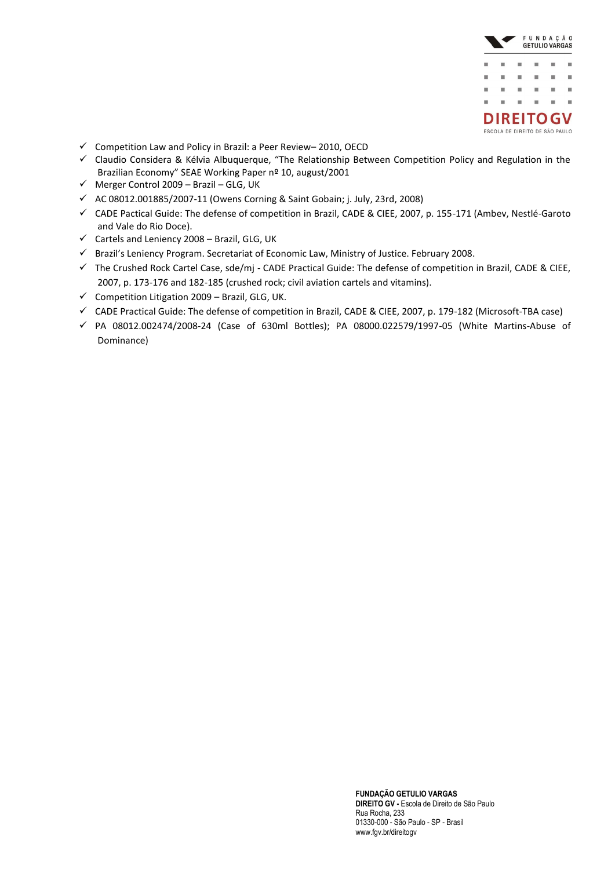

- $\checkmark$  [Competition Law and Policy in Brazil: a Peer Review](http://www.oecd.org/document/26/0,3343,en_2649_34685_45146202_1_1_1_1,00&&en-USS_01DBC.html)–2010, OECD
- $\checkmark$  Claudio Considera & Kélvia Albuquerque, "The Relationship Between Competition Policy and Regulation in the Brazilian Economy" SEAE Working Paper nº 10, august/2001
- $\checkmark$  Merger Control 2009 Brazil GLG, UK
- $\checkmark$  AC 08012.001885/2007-11 (Owens Corning & Saint Gobain; j. July, 23rd, 2008)
- CADE Pactical Guide: The defense of competition in Brazil, CADE & CIEE, 2007, p. 155-171 (Ambev, Nestlé-Garoto and Vale do Rio Doce).
- $\checkmark$  Cartels and Leniency 2008 Brazil, GLG, UK
- Brazil's Leniency Program. Secretariat of Economic Law, Ministry of Justice. February 2008.
- $\checkmark$  The Crushed Rock Cartel Case, sde/mj CADE Practical Guide: The defense of competition in Brazil, CADE & CIEE, 2007, p. 173-176 and 182-185 (crushed rock; civil aviation cartels and vitamins).
- $\checkmark$  Competition Litigation 2009 Brazil, GLG, UK.
- CADE Practical Guide: The defense of competition in Brazil, CADE & CIEE, 2007, p. 179-182 (Microsoft-TBA case)
- $\checkmark$  PA 08012.002474/2008-24 (Case of 630ml Bottles); PA 08000.022579/1997-05 (White Martins-Abuse of Dominance)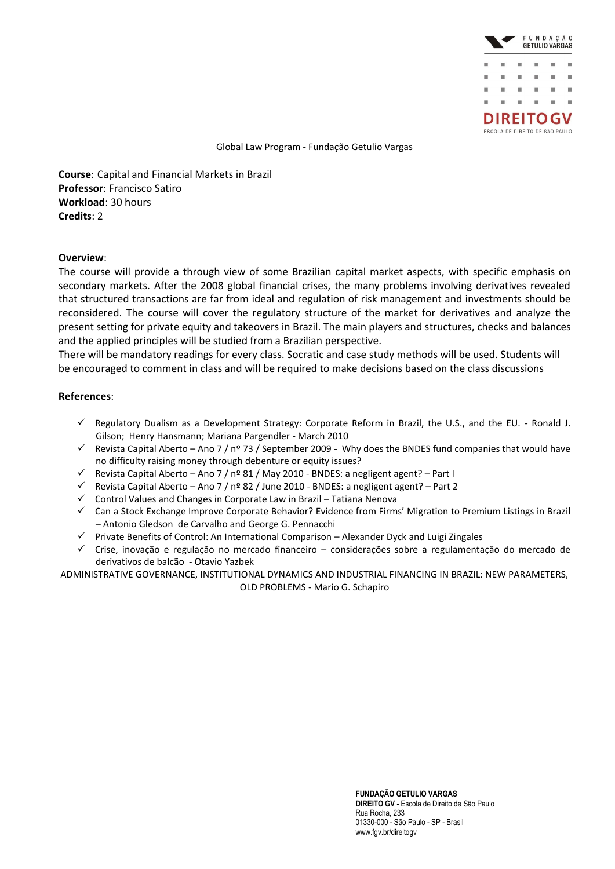

**Course**: Capital and Financial Markets in Brazil **Professor**: Francisco Satiro **Workload**: 30 hours **Credits**: 2

### **Overview**:

The course will provide a through view of some Brazilian capital market aspects, with specific emphasis on secondary markets. After the 2008 global financial crises, the many problems involving derivatives revealed that structured transactions are far from ideal and regulation of risk management and investments should be reconsidered. The course will cover the regulatory structure of the market for derivatives and analyze the present setting for private equity and takeovers in Brazil. The main players and structures, checks and balances and the applied principles will be studied from a Brazilian perspective.

There will be mandatory readings for every class. Socratic and case study methods will be used. Students will be encouraged to comment in class and will be required to make decisions based on the class discussions

### **References**:

- $\checkmark$  Regulatory Dualism as a Development Strategy: Corporate Reform in Brazil, the U.S., and the EU. Ronald J. Gilson; Henry Hansmann; Mariana Pargendler - March 2010
- $\checkmark$  Revista Capital Aberto Ano 7 / nº 73 / September 2009 Why does the BNDES fund companies that would have no difficulty raising money through debenture or equity issues?
- $\checkmark$  Revista Capital Aberto Ano 7 / nº 81 / May 2010 BNDES: a negligent agent? Part I
- $\checkmark$  Revista Capital Aberto Ano 7 / nº 82 / June 2010 BNDES: a negligent agent? Part 2
- $\checkmark$  Control Values and Changes in Corporate Law in Brazil Tatiana Nenova
- Can a Stock Exchange Improve Corporate Behavior? Evidence from Firms' Migration to Premium Listings in Brazil – Antonio Gledson de Carvalho and George G. Pennacchi
- $\checkmark$  Private Benefits of Control: An International Comparison Alexander Dyck and Luigi Zingales
- Crise, inovação e regulação no mercado financeiro considerações sobre a regulamentação do mercado de derivativos de balcão - Otavio Yazbek

ADMINISTRATIVE GOVERNANCE, INSTITUTIONAL DYNAMICS AND INDUSTRIAL FINANCING IN BRAZIL: NEW PARAMETERS, OLD PROBLEMS - Mario G. Schapiro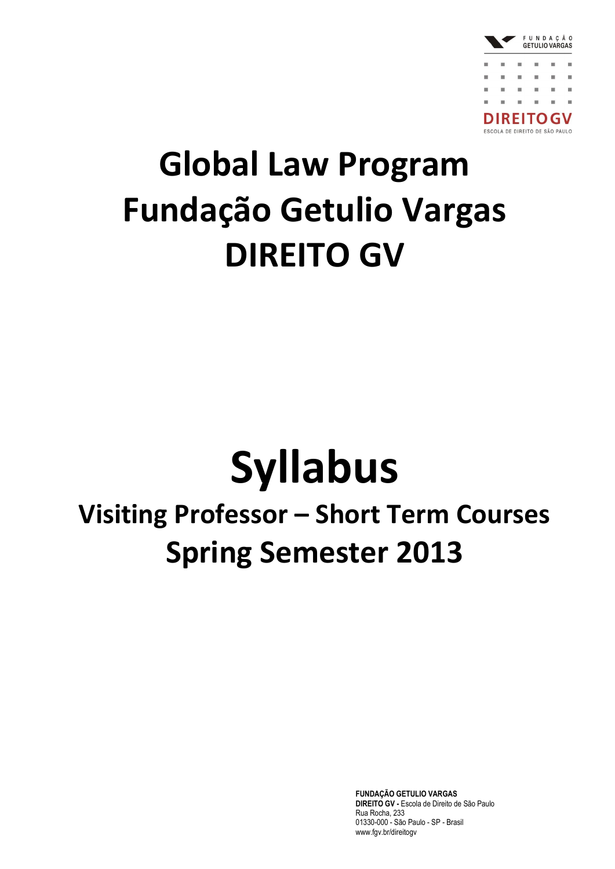

## **Global Law Program Fundação Getulio Vargas DIREITO GV**

# **Syllabus**

### **Visiting Professor – Short Term Courses Spring Semester 2013**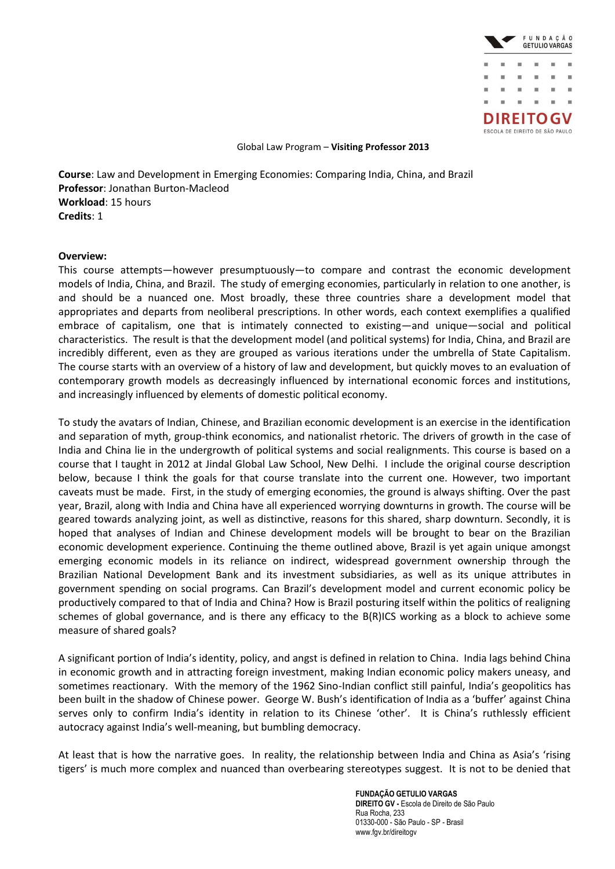

**Course**: Law and Development in Emerging Economies: Comparing India, China, and Brazil **Professor**: Jonathan Burton-Macleod **Workload**: 15 hours **Credits**: 1

### **Overview:**

This course attempts—however presumptuously—to compare and contrast the economic development models of India, China, and Brazil. The study of emerging economies, particularly in relation to one another, is and should be a nuanced one. Most broadly, these three countries share a development model that appropriates and departs from neoliberal prescriptions. In other words, each context exemplifies a qualified embrace of capitalism, one that is intimately connected to existing—and unique—social and political characteristics. The result is that the development model (and political systems) for India, China, and Brazil are incredibly different, even as they are grouped as various iterations under the umbrella of State Capitalism. The course starts with an overview of a history of law and development, but quickly moves to an evaluation of contemporary growth models as decreasingly influenced by international economic forces and institutions, and increasingly influenced by elements of domestic political economy.

To study the avatars of Indian, Chinese, and Brazilian economic development is an exercise in the identification and separation of myth, group-think economics, and nationalist rhetoric. The drivers of growth in the case of India and China lie in the undergrowth of political systems and social realignments. This course is based on a course that I taught in 2012 at Jindal Global Law School, New Delhi. I include the original course description below, because I think the goals for that course translate into the current one. However, two important caveats must be made. First, in the study of emerging economies, the ground is always shifting. Over the past year, Brazil, along with India and China have all experienced worrying downturns in growth. The course will be geared towards analyzing joint, as well as distinctive, reasons for this shared, sharp downturn. Secondly, it is hoped that analyses of Indian and Chinese development models will be brought to bear on the Brazilian economic development experience. Continuing the theme outlined above, Brazil is yet again unique amongst emerging economic models in its reliance on indirect, widespread government ownership through the Brazilian National Development Bank and its investment subsidiaries, as well as its unique attributes in government spending on social programs. Can Brazil's development model and current economic policy be productively compared to that of India and China? How is Brazil posturing itself within the politics of realigning schemes of global governance, and is there any efficacy to the B(R)ICS working as a block to achieve some measure of shared goals?

A significant portion of India's identity, policy, and angst is defined in relation to China. India lags behind China in economic growth and in attracting foreign investment, making Indian economic policy makers uneasy, and sometimes reactionary. With the memory of the 1962 Sino-Indian conflict still painful, India's geopolitics has been built in the shadow of Chinese power. George W. Bush's identification of India as a 'buffer' against China serves only to confirm India's identity in relation to its Chinese 'other'. It is China's ruthlessly efficient autocracy against India's well-meaning, but bumbling democracy.

At least that is how the narrative goes. In reality, the relationship between India and China as Asia's 'rising tigers' is much more complex and nuanced than overbearing stereotypes suggest. It is not to be denied that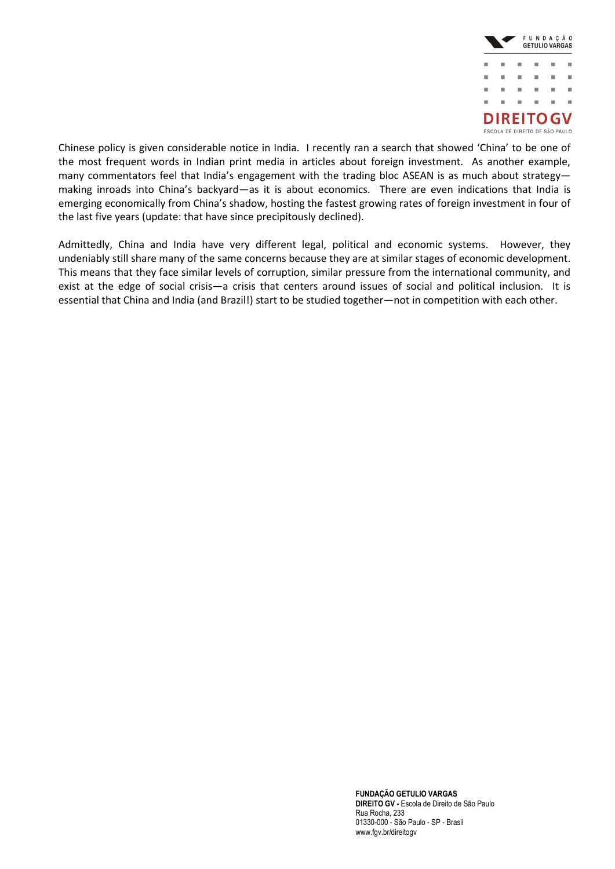

Chinese policy is given considerable notice in India. I recently ran a search that showed 'China' to be one of the most frequent words in Indian print media in articles about foreign investment. As another example, many commentators feel that India's engagement with the trading bloc ASEAN is as much about strategymaking inroads into China's backyard—as it is about economics. There are even indications that India is emerging economically from China's shadow, hosting the fastest growing rates of foreign investment in four of the last five years (update: that have since precipitously declined).

Admittedly, China and India have very different legal, political and economic systems. However, they undeniably still share many of the same concerns because they are at similar stages of economic development. This means that they face similar levels of corruption, similar pressure from the international community, and exist at the edge of social crisis—a crisis that centers around issues of social and political inclusion. It is essential that China and India (and Brazil!) start to be studied together—not in competition with each other.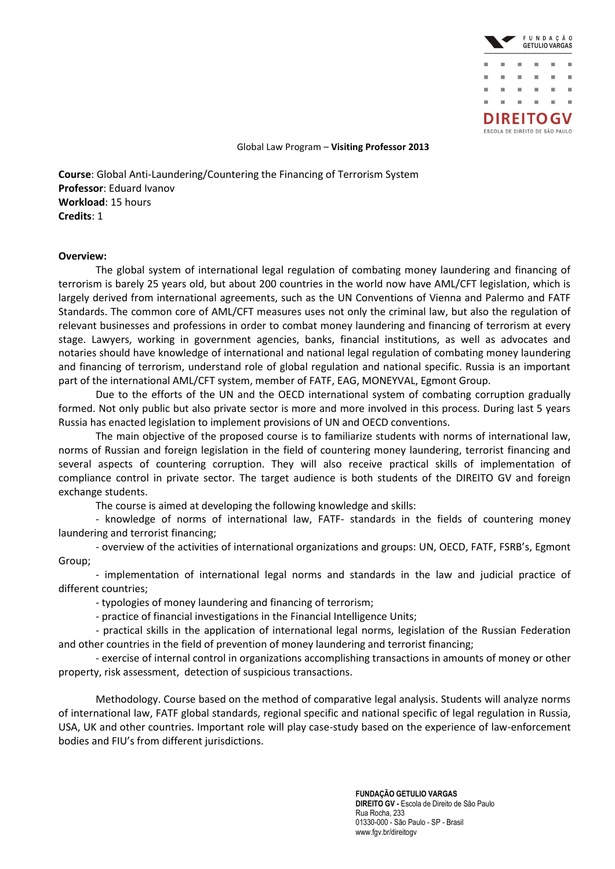

**Course**: Global Anti-Laundering/Countering the Financing of Terrorism System **Professor**: Eduard Ivanov **Workload**: 15 hours **Credits**: 1

### **Overview:**

The global system of international legal regulation of combating money laundering and financing of terrorism is barely 25 years old, but about 200 countries in the world now have AML/CFT legislation, which is largely derived from international agreements, such as the UN Conventions of Vienna and Palermo and FATF Standards. The common core of AML/CFT measures uses not only the criminal law, but also the regulation of relevant businesses and professions in order to combat money laundering and financing of terrorism at every stage. Lawyers, working in government agencies, banks, financial institutions, as well as advocates and notaries should have knowledge of international and national legal regulation of combating money laundering and financing of terrorism, understand role of global regulation and national specific. Russia is an important part of the international AML/CFT system, member of FATF, EAG, MONEYVAL, Egmont Group.

Due to the efforts of the UN and the OECD international system of combating corruption gradually formed. Not only public but also private sector is more and more involved in this process. During last 5 years Russia has enacted legislation to implement provisions of UN and OECD conventions.

The main objective of the proposed course is to familiarize students with norms of international law, norms of Russian and foreign legislation in the field of countering money laundering, terrorist financing and several aspects of countering corruption. They will also receive practical skills of implementation of compliance control in private sector. The target audience is both students of the DIREITO GV and foreign exchange students.

The course is aimed at developing the following knowledge and skills:

- knowledge of norms of international law, FATF- standards in the fields of countering money laundering and terrorist financing;

- overview of the activities of international organizations and groups: UN, OECD, FATF, FSRB's, Egmont Group;

- implementation of international legal norms and standards in the law and judicial practice of different countries;

- typologies of money laundering and financing of terrorism;

- practice of financial investigations in the Financial Intelligence Units;

- practical skills in the application of international legal norms, legislation of the Russian Federation and other countries in the field of prevention of money laundering and terrorist financing;

- exercise of internal control in organizations accomplishing transactions in amounts of money or other property, risk assessment, detection of suspicious transactions.

Methodology. Course based on the method of comparative legal analysis. Students will analyze norms of international law, FATF global standards, regional specific and national specific of legal regulation in Russia, USA, UK and other countries. Important role will play case-study based on the experience of law-enforcement bodies and FIU's from different jurisdictions.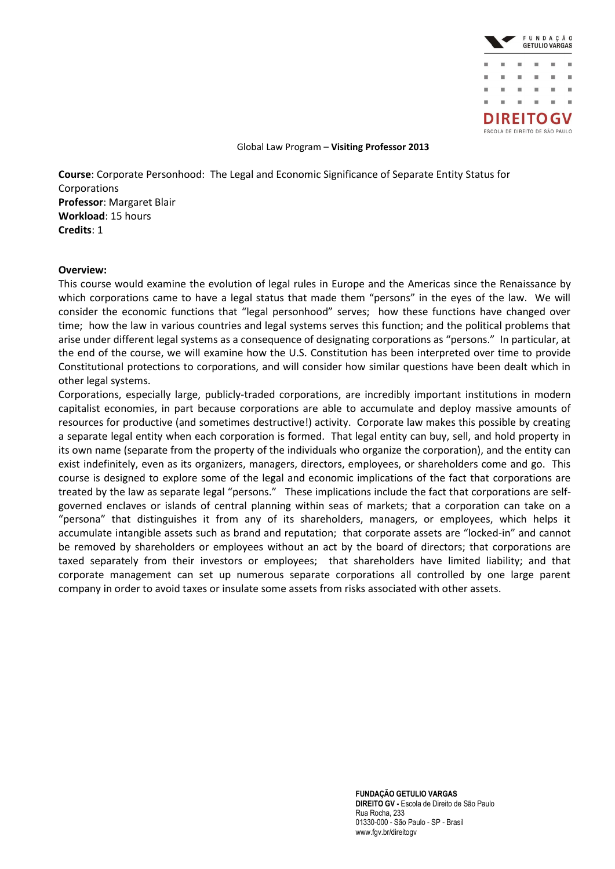

**Course**: Corporate Personhood: The Legal and Economic Significance of Separate Entity Status for **Corporations Professor**: Margaret Blair **Workload**: 15 hours **Credits**: 1

### **Overview:**

This course would examine the evolution of legal rules in Europe and the Americas since the Renaissance by which corporations came to have a legal status that made them "persons" in the eyes of the law. We will consider the economic functions that "legal personhood" serves; how these functions have changed over time; how the law in various countries and legal systems serves this function; and the political problems that arise under different legal systems as a consequence of designating corporations as "persons." In particular, at the end of the course, we will examine how the U.S. Constitution has been interpreted over time to provide Constitutional protections to corporations, and will consider how similar questions have been dealt which in other legal systems.

Corporations, especially large, publicly-traded corporations, are incredibly important institutions in modern capitalist economies, in part because corporations are able to accumulate and deploy massive amounts of resources for productive (and sometimes destructive!) activity. Corporate law makes this possible by creating a separate legal entity when each corporation is formed. That legal entity can buy, sell, and hold property in its own name (separate from the property of the individuals who organize the corporation), and the entity can exist indefinitely, even as its organizers, managers, directors, employees, or shareholders come and go. This course is designed to explore some of the legal and economic implications of the fact that corporations are treated by the law as separate legal "persons." These implications include the fact that corporations are selfgoverned enclaves or islands of central planning within seas of markets; that a corporation can take on a "persona" that distinguishes it from any of its shareholders, managers, or employees, which helps it accumulate intangible assets such as brand and reputation; that corporate assets are "locked-in" and cannot be removed by shareholders or employees without an act by the board of directors; that corporations are taxed separately from their investors or employees; that shareholders have limited liability; and that corporate management can set up numerous separate corporations all controlled by one large parent company in order to avoid taxes or insulate some assets from risks associated with other assets.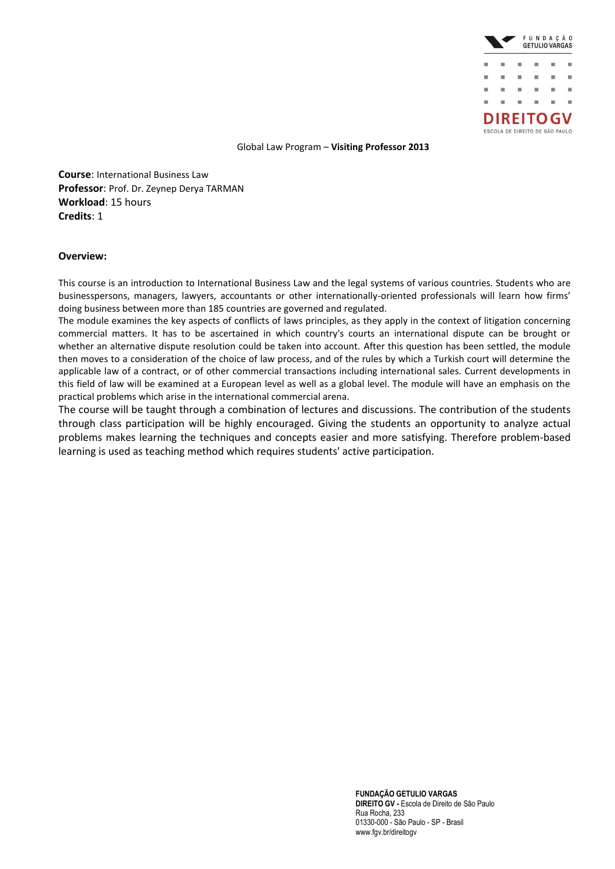

**Course**: International Business Law **Professor**: Prof. Dr. Zeynep Derya TARMAN **Workload**: 15 hours **Credits**: 1

### **Overview:**

This course is an introduction to International Business Law and the legal systems of various countries. Students who are businesspersons, managers, lawyers, accountants or other internationally-oriented professionals will learn how firms' doing business between more than 185 countries are governed and regulated.

The module examines the key aspects of conflicts of laws principles, as they apply in the context of litigation concerning commercial matters. It has to be ascertained in which country's courts an international dispute can be brought or whether an alternative dispute resolution could be taken into account. After this question has been settled, the module then moves to a consideration of the choice of law process, and of the rules by which a Turkish court will determine the applicable law of a contract, or of other commercial transactions including international sales. Current developments in this field of law will be examined at a European level as well as a global level. The module will have an emphasis on the practical problems which arise in the international commercial arena.

The course will be taught through a combination of lectures and discussions. The contribution of the students through class participation will be highly encouraged. Giving the students an opportunity to analyze actual problems makes learning the techniques and concepts easier and more satisfying. Therefore problem-based learning is used as teaching method which requires students' active participation.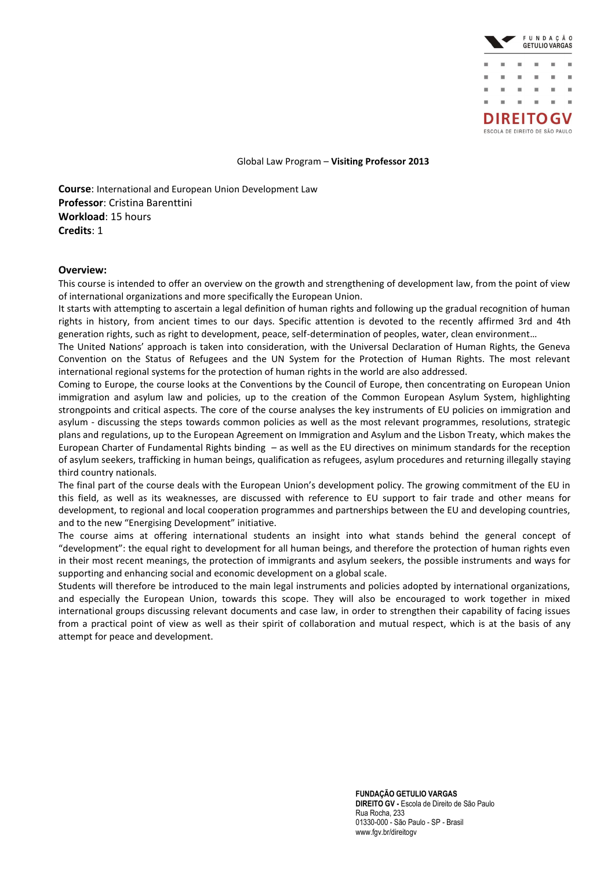

**Course**: International and European Union Development Law **Professor**: Cristina Barenttini **Workload**: 15 hours **Credits**: 1

### **Overview:**

This course is intended to offer an overview on the growth and strengthening of development law, from the point of view of international organizations and more specifically the European Union.

It starts with attempting to ascertain a legal definition of human rights and following up the gradual recognition of human rights in history, from ancient times to our days. Specific attention is devoted to the recently affirmed 3rd and 4th generation rights, such as right to development, peace, self-determination of peoples, water, clean environment…

The United Nations' approach is taken into consideration, with the Universal Declaration of Human Rights, the Geneva Convention on the Status of Refugees and the UN System for the Protection of Human Rights. The most relevant international regional systems for the protection of human rights in the world are also addressed.

Coming to Europe, the course looks at the Conventions by the Council of Europe, then concentrating on European Union immigration and asylum law and policies, up to the creation of the Common European Asylum System, highlighting strongpoints and critical aspects. The core of the course analyses the key instruments of EU policies on immigration and asylum - discussing the steps towards common policies as well as the most relevant programmes, resolutions, strategic plans and regulations, up to the European Agreement on Immigration and Asylum and the Lisbon Treaty, which makes the European Charter of Fundamental Rights binding – as well as the EU directives on minimum standards for the reception of asylum seekers, trafficking in human beings, qualification as refugees, asylum procedures and returning illegally staying third country nationals.

The final part of the course deals with the European Union's development policy. The growing commitment of the EU in this field, as well as its weaknesses, are discussed with reference to EU support to fair trade and other means for development, to regional and local cooperation programmes and partnerships between the EU and developing countries, and to the new "Energising Development" initiative.

The course aims at offering international students an insight into what stands behind the general concept of "development": the equal right to development for all human beings, and therefore the protection of human rights even in their most recent meanings, the protection of immigrants and asylum seekers, the possible instruments and ways for supporting and enhancing social and economic development on a global scale.

Students will therefore be introduced to the main legal instruments and policies adopted by international organizations, and especially the European Union, towards this scope. They will also be encouraged to work together in mixed international groups discussing relevant documents and case law, in order to strengthen their capability of facing issues from a practical point of view as well as their spirit of collaboration and mutual respect, which is at the basis of any attempt for peace and development.